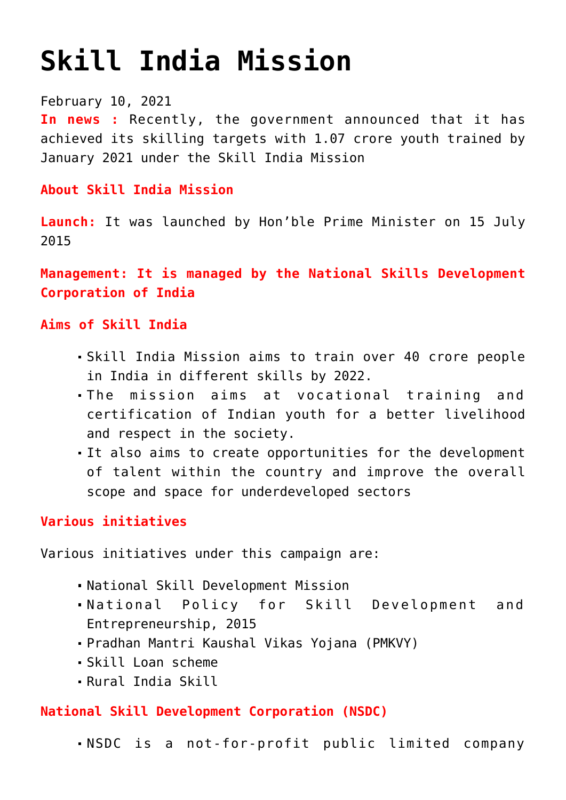# **[Skill India Mission](https://journalsofindia.com/skill-india-mission/)**

February 10, 2021

**In news :** Recently, the government announced that it has achieved its skilling targets with 1.07 crore youth trained by January 2021 under the Skill India Mission

**About Skill India Mission**

**Launch:** It was launched by Hon'ble Prime Minister on 15 July 2015

**Management: It is managed by the National Skills Development Corporation of India**

**Aims of Skill India** 

- Skill India Mission aims to train over 40 crore people in India in different skills by 2022.
- The mission aims at vocational training and certification of Indian youth for a better livelihood and respect in the society.
- It also aims to create opportunities for the development of talent within the country and improve the overall scope and space for underdeveloped sectors

# **Various initiatives**

Various initiatives under this campaign are:

- National Skill Development Mission
- National Policy for Skill Development and Entrepreneurship, 2015
- Pradhan Mantri Kaushal Vikas Yojana (PMKVY)
- Skill Loan scheme
- Rural India Skill

# **National Skill Development Corporation (NSDC)**

NSDC is a not-for-profit public limited company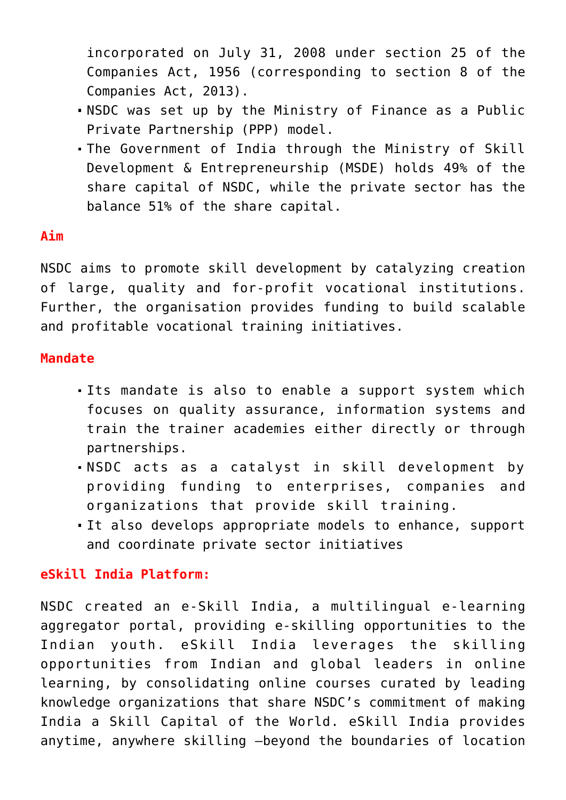incorporated on July 31, 2008 under section 25 of the Companies Act, 1956 (corresponding to section 8 of the Companies Act, 2013).

- NSDC was set up by the Ministry of Finance as a Public Private Partnership (PPP) model.
- The Government of India through the Ministry of Skill Development & Entrepreneurship (MSDE) holds 49% of the share capital of NSDC, while the private sector has the balance 51% of the share capital.

## **Aim**

NSDC aims to promote skill development by catalyzing creation of large, quality and for-profit vocational institutions. Further, the organisation provides funding to build scalable and profitable vocational training initiatives.

### **Mandate**

- Its mandate is also to enable a support system which focuses on quality assurance, information systems and train the trainer academies either directly or through partnerships.
- NSDC acts as a catalyst in skill development by providing funding to enterprises, companies and organizations that provide skill training.
- It also develops appropriate models to enhance, support and coordinate private sector initiatives

#### **eSkill India Platform:**

NSDC created an e-Skill India, a multilingual e-learning aggregator portal, providing e-skilling opportunities to the Indian youth. eSkill India leverages the skilling opportunities from Indian and global leaders in online learning, by consolidating online courses curated by leading knowledge organizations that share NSDC's commitment of making India a Skill Capital of the World. eSkill India provides anytime, anywhere skilling —beyond the boundaries of location